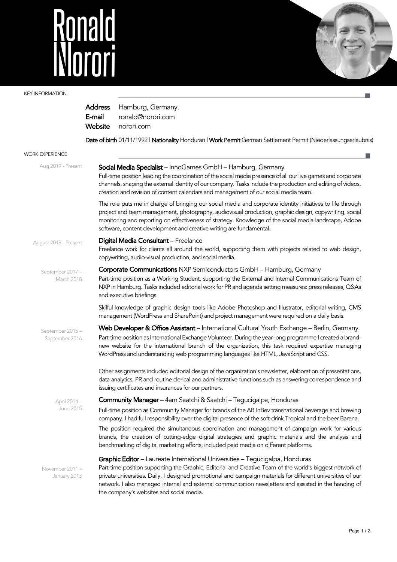## Ronald<br>INorori



ш

## KEY INFORMATION

|                                    | Address<br>E-mail<br>Website                                                                                                                                                                                                                                                                                                                                                                                                                                          | Hamburg, Germany.<br>ronald@norori.com<br>norori.com                                                                                                                                                                                                                                                                                                                                                |  |  |  |  |  |
|------------------------------------|-----------------------------------------------------------------------------------------------------------------------------------------------------------------------------------------------------------------------------------------------------------------------------------------------------------------------------------------------------------------------------------------------------------------------------------------------------------------------|-----------------------------------------------------------------------------------------------------------------------------------------------------------------------------------------------------------------------------------------------------------------------------------------------------------------------------------------------------------------------------------------------------|--|--|--|--|--|
|                                    |                                                                                                                                                                                                                                                                                                                                                                                                                                                                       | Date of birth 01/11/1992   Nationality Honduran   Work Permit German Settlement Permit (Niederlassungserlaubnis)                                                                                                                                                                                                                                                                                    |  |  |  |  |  |
| <b>WORK EXPERIENCE</b>             |                                                                                                                                                                                                                                                                                                                                                                                                                                                                       |                                                                                                                                                                                                                                                                                                                                                                                                     |  |  |  |  |  |
| Aug 2019 - Present                 | Social Media Specialist - InnoGames GmbH - Hamburg, Germany<br>Full-time position leading the coordination of the social media presence of all our live games and corporate<br>channels, shaping the external identity of our company. Tasks include the production and editing of videos,<br>creation and revision of content calendars and management of our social media team.                                                                                     |                                                                                                                                                                                                                                                                                                                                                                                                     |  |  |  |  |  |
|                                    |                                                                                                                                                                                                                                                                                                                                                                                                                                                                       | The role puts me in charge of bringing our social media and corporate identity initiatives to life through<br>project and team management, photography, audiovisual production, graphic design, copywriting, social<br>monitoring and reporting on effectiveness of strategy. Knowledge of the social media landscape, Adobe<br>software, content development and creative writing are fundamental. |  |  |  |  |  |
| August 2019 - Present              | Digital Media Consultant - Freelance<br>Freelance work for clients all around the world, supporting them with projects related to web design,<br>copywriting, audio-visual production, and social media.                                                                                                                                                                                                                                                              |                                                                                                                                                                                                                                                                                                                                                                                                     |  |  |  |  |  |
| September 2017 -<br>March 2018     |                                                                                                                                                                                                                                                                                                                                                                                                                                                                       | Corporate Communications NXP Semiconductors GmbH - Hamburg, Germany                                                                                                                                                                                                                                                                                                                                 |  |  |  |  |  |
|                                    | Part-time position as a Working Student, supporting the External and Internal Communications Team of<br>NXP in Hamburg. Tasks included editorial work for PR and agenda setting measures: press releases, Q&As<br>and executive briefings.                                                                                                                                                                                                                            |                                                                                                                                                                                                                                                                                                                                                                                                     |  |  |  |  |  |
|                                    |                                                                                                                                                                                                                                                                                                                                                                                                                                                                       | Skilful knowledge of graphic design tools like Adobe Photoshop and Illustrator, editorial writing, CMS<br>management (WordPress and SharePoint) and project management were required on a daily basis.                                                                                                                                                                                              |  |  |  |  |  |
| September 2015 -<br>September 2016 |                                                                                                                                                                                                                                                                                                                                                                                                                                                                       | Web Developer & Office Assistant - International Cultural Youth Exchange - Berlin, Germany                                                                                                                                                                                                                                                                                                          |  |  |  |  |  |
|                                    |                                                                                                                                                                                                                                                                                                                                                                                                                                                                       | Part-time position as International Exchange Volunteer. During the year-long programme I created a brand-<br>new website for the international branch of the organization, this task required expertise managing<br>WordPress and understanding web programming languages like HTML, JavaScript and CSS.                                                                                            |  |  |  |  |  |
|                                    |                                                                                                                                                                                                                                                                                                                                                                                                                                                                       | Other assignments included editorial design of the organization's newsletter, elaboration of presentations,<br>data analytics, PR and routine clerical and administrative functions such as answering correspondence and<br>issuing certificates and insurances for our partners.                                                                                                                   |  |  |  |  |  |
| April 2014 -<br>June 2015          |                                                                                                                                                                                                                                                                                                                                                                                                                                                                       | <b>Community Manager</b> - 4am Saatchi & Saatchi - Tegucigalpa, Honduras                                                                                                                                                                                                                                                                                                                            |  |  |  |  |  |
|                                    |                                                                                                                                                                                                                                                                                                                                                                                                                                                                       | Full-time position as Community Manager for brands of the AB InBev transnational beverage and brewing<br>company. I had full responsibility over the digital presence of the soft-drink Tropical and the beer Barena.                                                                                                                                                                               |  |  |  |  |  |
|                                    |                                                                                                                                                                                                                                                                                                                                                                                                                                                                       | The position required the simultaneous coordination and management of campaign work for various<br>brands, the creation of cutting-edge digital strategies and graphic materials and the analysis and<br>benchmarking of digital marketing efforts, included paid media on different platforms.                                                                                                     |  |  |  |  |  |
| November 2011 -<br>January 2013    | <b>Graphic Editor</b> – Laureate International Universities – Tegucigalpa, Honduras<br>Part-time position supporting the Graphic, Editorial and Creative Team of the world's biggest network of<br>private universities. Daily, I designed promotional and campaign materials for different universities of our<br>network. I also managed internal and external communication newsletters and assisted in the handing of<br>the company's websites and social media. |                                                                                                                                                                                                                                                                                                                                                                                                     |  |  |  |  |  |